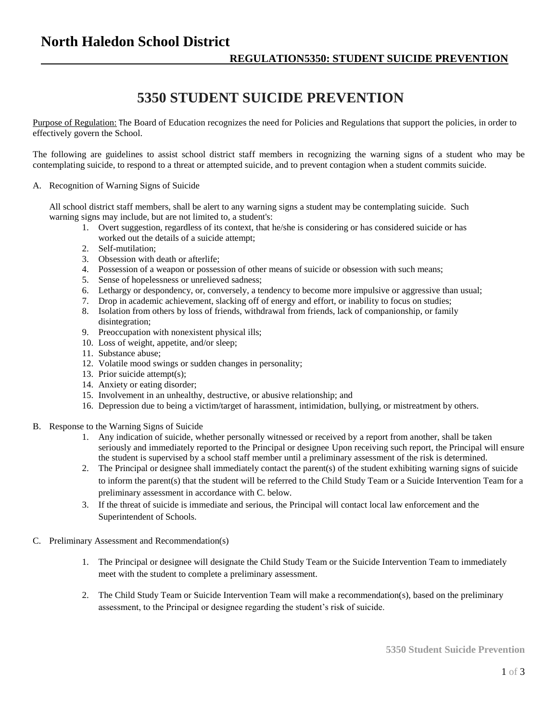### **North Haledon School District**

# **5350 STUDENT SUICIDE PREVENTION**

Purpose of Regulation: The Board of Education recognizes the need for Policies and Regulations that support the policies, in order to effectively govern the School.

The following are guidelines to assist school district staff members in recognizing the warning signs of a student who may be contemplating suicide, to respond to a threat or attempted suicide, and to prevent contagion when a student commits suicide.

#### A. Recognition of Warning Signs of Suicide

All school district staff members, shall be alert to any warning signs a student may be contemplating suicide. Such warning signs may include, but are not limited to, a student's:

- 1. Overt suggestion, regardless of its context, that he/she is considering or has considered suicide or has worked out the details of a suicide attempt;
- 2. Self-mutilation;
- 3. Obsession with death or afterlife;
- 4. Possession of a weapon or possession of other means of suicide or obsession with such means;
- 5. Sense of hopelessness or unrelieved sadness;
- 6. Lethargy or despondency, or, conversely, a tendency to become more impulsive or aggressive than usual;
- 7. Drop in academic achievement, slacking off of energy and effort, or inability to focus on studies;
- 8. Isolation from others by loss of friends, withdrawal from friends, lack of companionship, or family disintegration;
- 9. Preoccupation with nonexistent physical ills;
- 10. Loss of weight, appetite, and/or sleep;
- 11. Substance abuse;
- 12. Volatile mood swings or sudden changes in personality;
- 13. Prior suicide attempt(s);
- 14. Anxiety or eating disorder;
- 15. Involvement in an unhealthy, destructive, or abusive relationship; and
- 16. Depression due to being a victim/target of harassment, intimidation, bullying, or mistreatment by others.
- B. Response to the Warning Signs of Suicide
	- 1. Any indication of suicide, whether personally witnessed or received by a report from another, shall be taken seriously and immediately reported to the Principal or designee Upon receiving such report, the Principal will ensure the student is supervised by a school staff member until a preliminary assessment of the risk is determined.
	- 2. The Principal or designee shall immediately contact the parent(s) of the student exhibiting warning signs of suicide to inform the parent(s) that the student will be referred to the Child Study Team or a Suicide Intervention Team for a preliminary assessment in accordance with C. below.
	- 3. If the threat of suicide is immediate and serious, the Principal will contact local law enforcement and the Superintendent of Schools.
- C. Preliminary Assessment and Recommendation(s)
	- 1. The Principal or designee will designate the Child Study Team or the Suicide Intervention Team to immediately meet with the student to complete a preliminary assessment.
	- 2. The Child Study Team or Suicide Intervention Team will make a recommendation(s), based on the preliminary assessment, to the Principal or designee regarding the student's risk of suicide.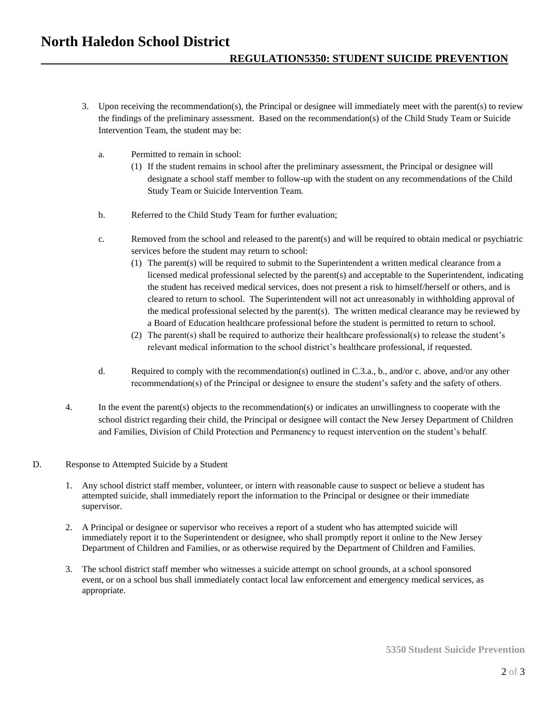## **North Haledon School District**

### **REGULATION5350: STUDENT SUICIDE PREVENTION**

- 3. Upon receiving the recommendation(s), the Principal or designee will immediately meet with the parent(s) to review the findings of the preliminary assessment. Based on the recommendation(s) of the Child Study Team or Suicide Intervention Team, the student may be:
	- a. Permitted to remain in school:
		- (1) If the student remains in school after the preliminary assessment, the Principal or designee will designate a school staff member to follow-up with the student on any recommendations of the Child Study Team or Suicide Intervention Team.
	- b. Referred to the Child Study Team for further evaluation;
	- c. Removed from the school and released to the parent(s) and will be required to obtain medical or psychiatric services before the student may return to school:
		- (1) The parent(s) will be required to submit to the Superintendent a written medical clearance from a licensed medical professional selected by the parent(s) and acceptable to the Superintendent, indicating the student has received medical services, does not present a risk to himself/herself or others, and is cleared to return to school. The Superintendent will not act unreasonably in withholding approval of the medical professional selected by the parent(s). The written medical clearance may be reviewed by a Board of Education healthcare professional before the student is permitted to return to school.
		- (2) The parent(s) shall be required to authorize their healthcare professional(s) to release the student's relevant medical information to the school district's healthcare professional, if requested.
	- d. Required to comply with the recommendation(s) outlined in C.3.a., b., and/or c. above, and/or any other recommendation(s) of the Principal or designee to ensure the student's safety and the safety of others.
- 4. In the event the parent(s) objects to the recommendation(s) or indicates an unwillingness to cooperate with the school district regarding their child, the Principal or designee will contact the New Jersey Department of Children and Families, Division of Child Protection and Permanency to request intervention on the student's behalf.
- D. Response to Attempted Suicide by a Student
	- 1. Any school district staff member, volunteer, or intern with reasonable cause to suspect or believe a student has attempted suicide, shall immediately report the information to the Principal or designee or their immediate supervisor.
	- 2. A Principal or designee or supervisor who receives a report of a student who has attempted suicide will immediately report it to the Superintendent or designee, who shall promptly report it online to the New Jersey Department of Children and Families, or as otherwise required by the Department of Children and Families.
	- 3. The school district staff member who witnesses a suicide attempt on school grounds, at a school sponsored event, or on a school bus shall immediately contact local law enforcement and emergency medical services, as appropriate.